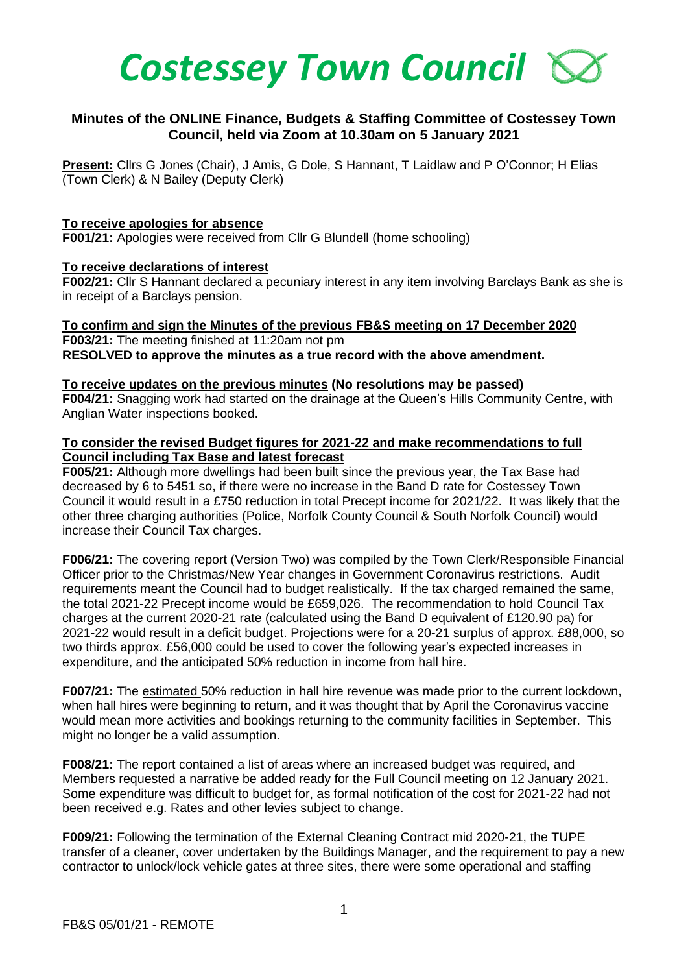

# **Minutes of the ONLINE Finance, Budgets & Staffing Committee of Costessey Town Council, held via Zoom at 10.30am on 5 January 2021**

**Present:** Cllrs G Jones (Chair), J Amis, G Dole, S Hannant, T Laidlaw and P O'Connor; H Elias (Town Clerk) & N Bailey (Deputy Clerk)

### **To receive apologies for absence**

**F001/21:** Apologies were received from Cllr G Blundell (home schooling)

### **To receive declarations of interest**

**F002/21:** Cllr S Hannant declared a pecuniary interest in any item involving Barclays Bank as she is in receipt of a Barclays pension.

#### **To confirm and sign the Minutes of the previous FB&S meeting on 17 December 2020 F003/21:** The meeting finished at 11:20am not pm **RESOLVED to approve the minutes as a true record with the above amendment.**

**To receive updates on the previous minutes (No resolutions may be passed) F004/21:** Snagging work had started on the drainage at the Queen's Hills Community Centre, with Anglian Water inspections booked.

# **To consider the revised Budget figures for 2021-22 and make recommendations to full Council including Tax Base and latest forecast**

**F005/21:** Although more dwellings had been built since the previous year, the Tax Base had decreased by 6 to 5451 so, if there were no increase in the Band D rate for Costessey Town Council it would result in a £750 reduction in total Precept income for 2021/22. It was likely that the other three charging authorities (Police, Norfolk County Council & South Norfolk Council) would increase their Council Tax charges.

**F006/21:** The covering report (Version Two) was compiled by the Town Clerk/Responsible Financial Officer prior to the Christmas/New Year changes in Government Coronavirus restrictions. Audit requirements meant the Council had to budget realistically. If the tax charged remained the same, the total 2021-22 Precept income would be £659,026. The recommendation to hold Council Tax charges at the current 2020-21 rate (calculated using the Band D equivalent of £120.90 pa) for 2021-22 would result in a deficit budget. Projections were for a 20-21 surplus of approx. £88,000, so two thirds approx. £56,000 could be used to cover the following year's expected increases in expenditure, and the anticipated 50% reduction in income from hall hire.

**F007/21:** The estimated 50% reduction in hall hire revenue was made prior to the current lockdown, when hall hires were beginning to return, and it was thought that by April the Coronavirus vaccine would mean more activities and bookings returning to the community facilities in September. This might no longer be a valid assumption.

**F008/21:** The report contained a list of areas where an increased budget was required, and Members requested a narrative be added ready for the Full Council meeting on 12 January 2021. Some expenditure was difficult to budget for, as formal notification of the cost for 2021-22 had not been received e.g. Rates and other levies subject to change.

**F009/21:** Following the termination of the External Cleaning Contract mid 2020-21, the TUPE transfer of a cleaner, cover undertaken by the Buildings Manager, and the requirement to pay a new contractor to unlock/lock vehicle gates at three sites, there were some operational and staffing